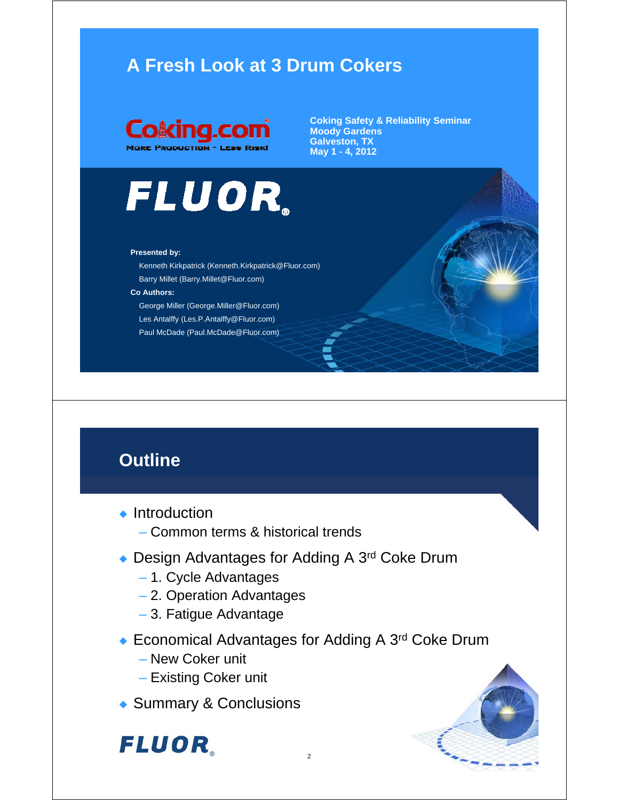#### **A Fresh Look at 3 Drum Cokers**



**Coking Safety & Reliability Seminar Moody Gardens Galveston, TX May 1 - 4, 2012**

# FLUOR.

#### **Presented by:**

Kenneth Kirkpatrick (Kenneth.Kirkpatrick@Fluor.com) Barry Millet (Barry.Millet@Fluor.com)

#### **Co Authors:**

George Miller (George.Miller@Fluor.com) Les Antalffy (Les.P.Antalffy@Fluor.com) Paul McDade (Paul.McDade@Fluor.com)

#### **Outline**

- Introduction
	- Common terms & historical trends
- ◆ Design Advantages for Adding A 3<sup>rd</sup> Coke Drum
	- 1. Cycle Advantages
	- 2. Operation Advantages
	- 3. Fatigue Advantage
- ◆ Economical Advantages for Adding A 3<sup>rd</sup> Coke Drum

2

- New Coker unit
- Existing Coker unit
- ◆ Summary & Conclusions

**FLUOR**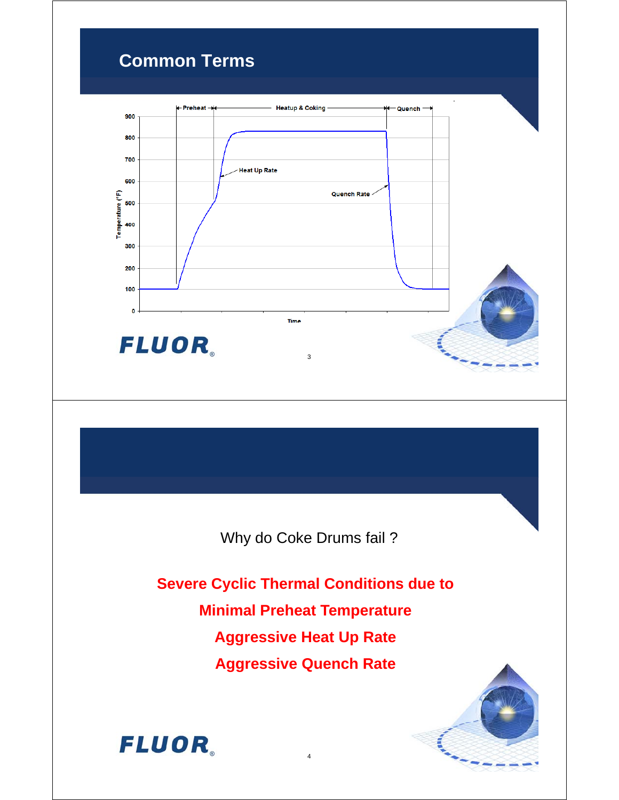## **Common Terms**



Why do Coke Drums fail ?

**Severe Cyclic Thermal Conditions due to Minimal Preheat Temperature Aggressive Heat Up Rate Aggressive Quench Rate**

4



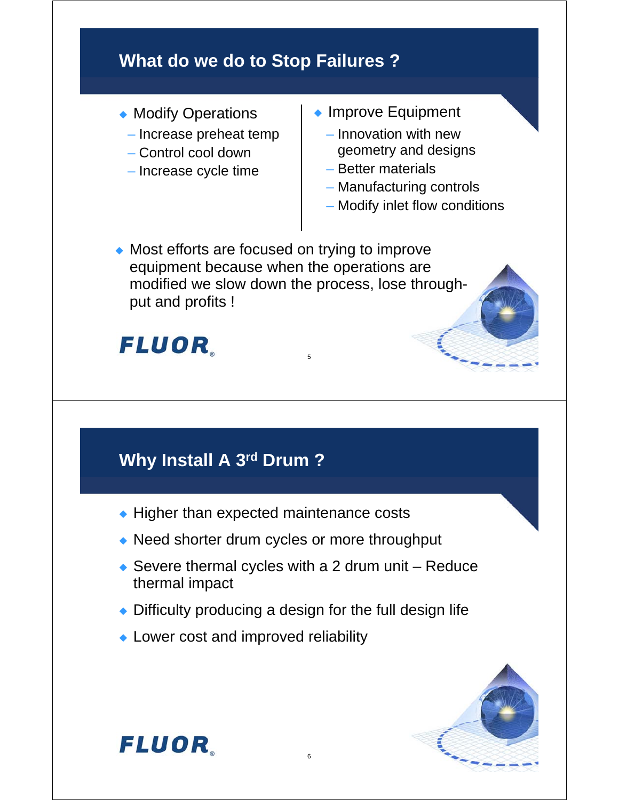### **What do we do to Stop Failures ?**

- 
- Increase preheat temp
- Control cool down
- Increase cycle time  $\qquad \qquad \vert \qquad \text{– Better materials}$
- Modify Operations | Improve Equipment
	- Innovation with new geometry and designs
	-
	- Manufacturing controls
	- Modify inlet flow conditions
- Most efforts are focused on trying to improve equipment because when the operations are modified we slow down the process, lose throughput and profits !

5

## **FLUOR**

## **Why Install A 3rd Drum ?**

- ◆ Higher than expected maintenance costs
- Need shorter drum cycles or more throughput
- $\triangle$  Severe thermal cycles with a 2 drum unit Reduce thermal impact
- Difficulty producing a design for the full design life

6

• Lower cost and improved reliability



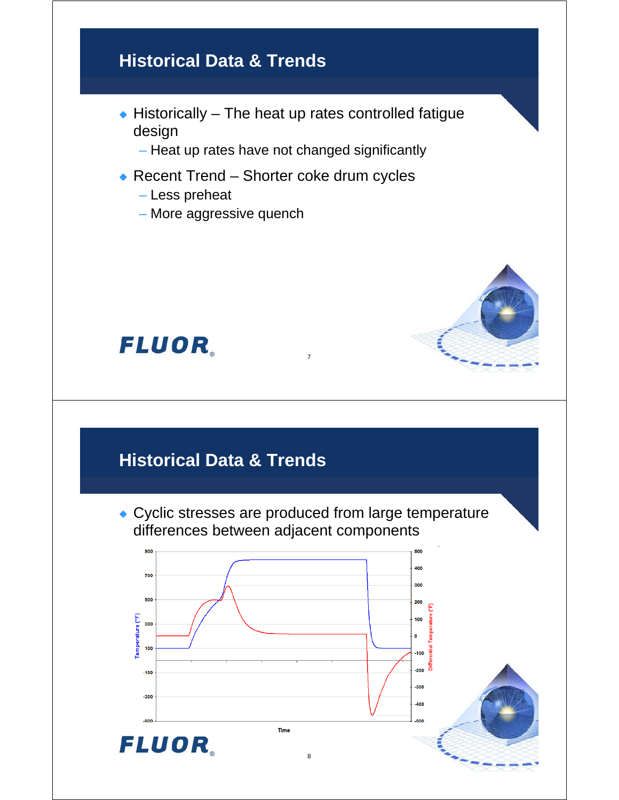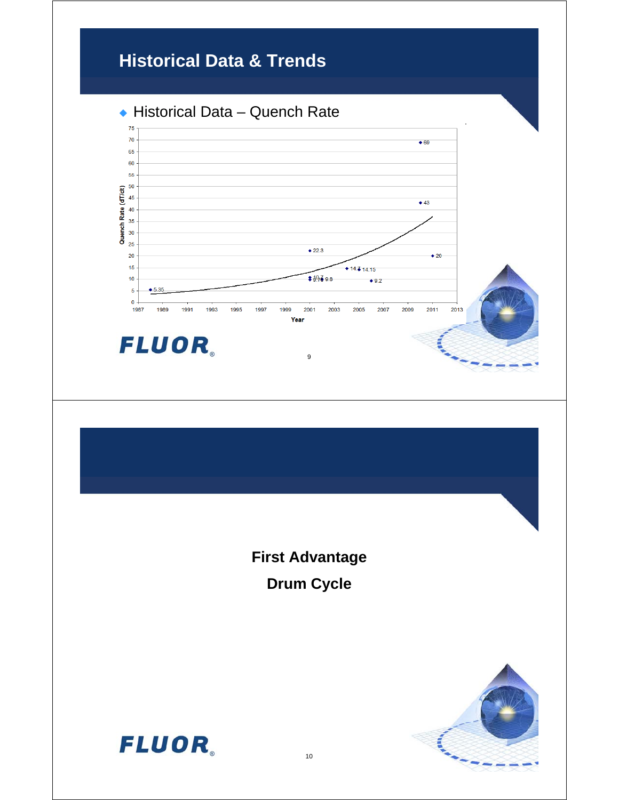## **Historical Data & Trends**





**First Advantage Drum Cycle**



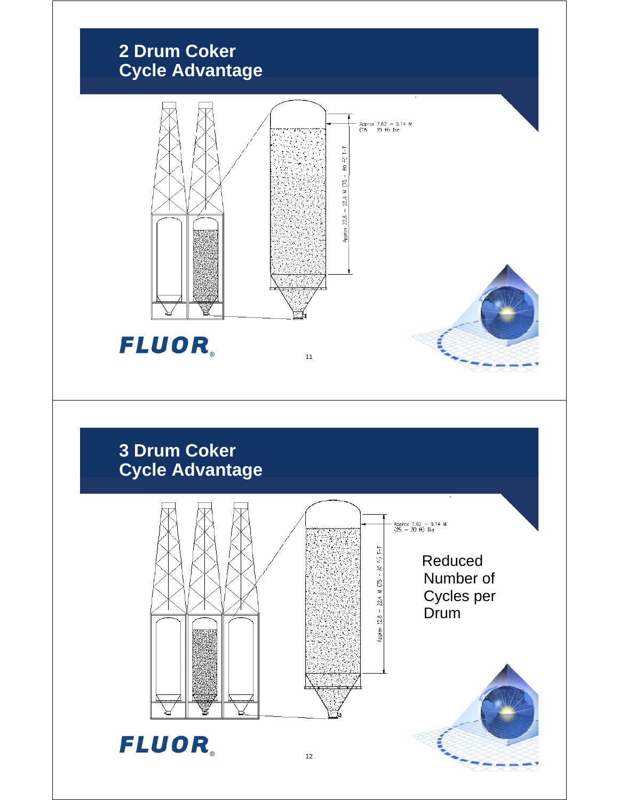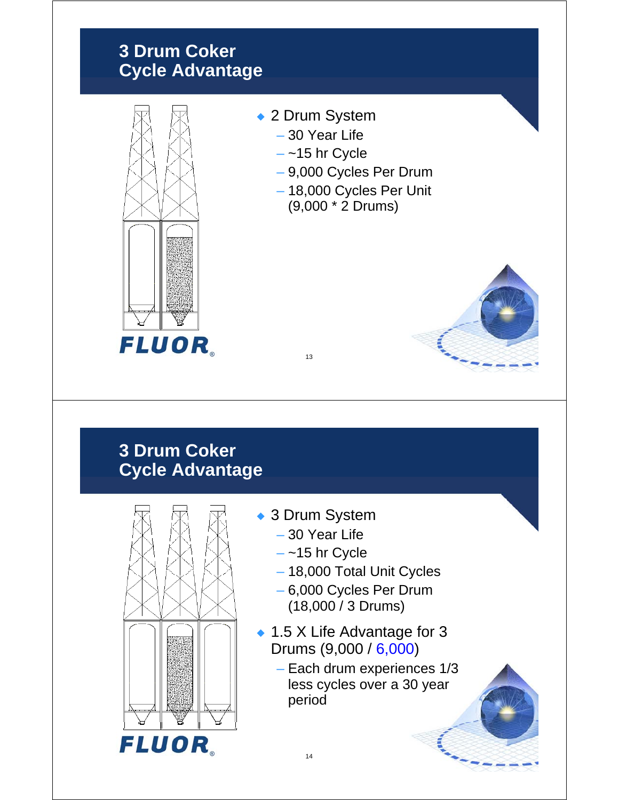### **3 Drum Coker Cycle Advantage**



- ◆ 2 Drum System
	- 30 Year Life
	- $-$  ~15 hr Cycle
	- 9,000 Cycles Per Drum
	- 18,000 Cycles Per Unit
	- (9,000 \* 2 Drums)





◆ 3 Drum System

13

- 30 Year Life
- $-$  ~15 hr Cycle
- 18,000 Total Unit Cycles
- 6,000 Cycles Per Drum (18,000 / 3 Drums)
- ◆ 1.5 X Life Advantage for 3 Drums (9,000 / 6,000)
	- $-$  Each drum experiences 1/3 less cycles over a 30 year period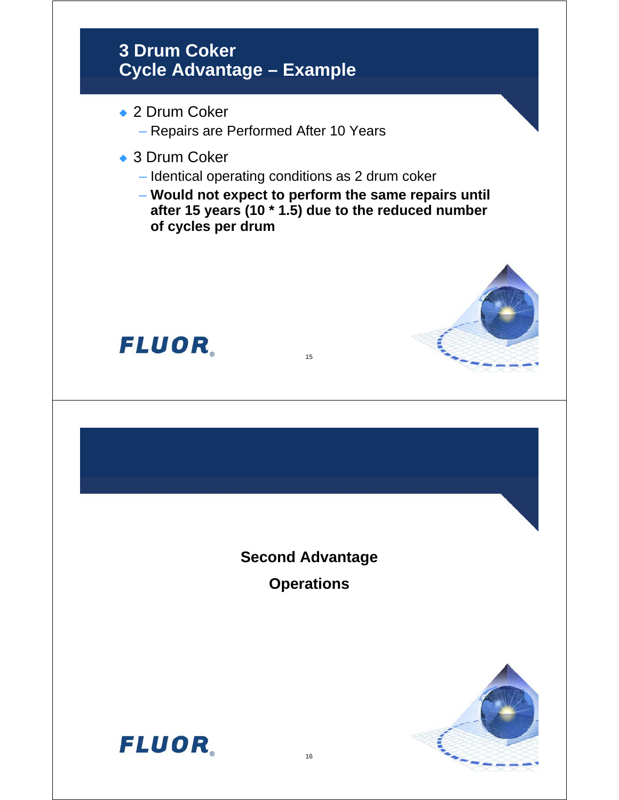# **3 Drum Coker Cycle Advantage – Example** ◆ 2 Drum Coker – Repairs are Performed After 10 Years ◆ 3 Drum Coker – Identical operating conditions as 2 drum coker – **Would not expect to perform the same repairs until after 15 years (10 \* 1.5) due to the reduced number of cycles per drum of cycles per FLUOR** 15 **Second Advantage Operations**

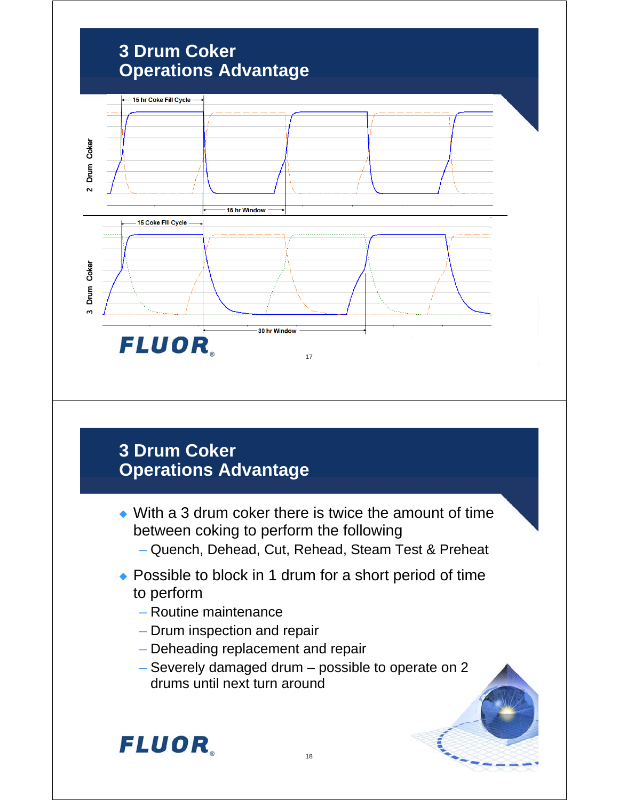

#### **3 Drum Coker Operations Advantage**

- With a 3 drum coker there is twice the amount of time between coking to perform the following
	- Quench, Dehead, Cut, Rehead, Steam Test & Preheat
- $\bullet$  Possible to block in 1 drum for a short period of time to perform
	- Routine maintenance
	- Drum inspection and repair
	- Deheading replacement and repair
	- Severely damaged drum possible to operate on  $2$ drums until next turn around

## **FLUOR**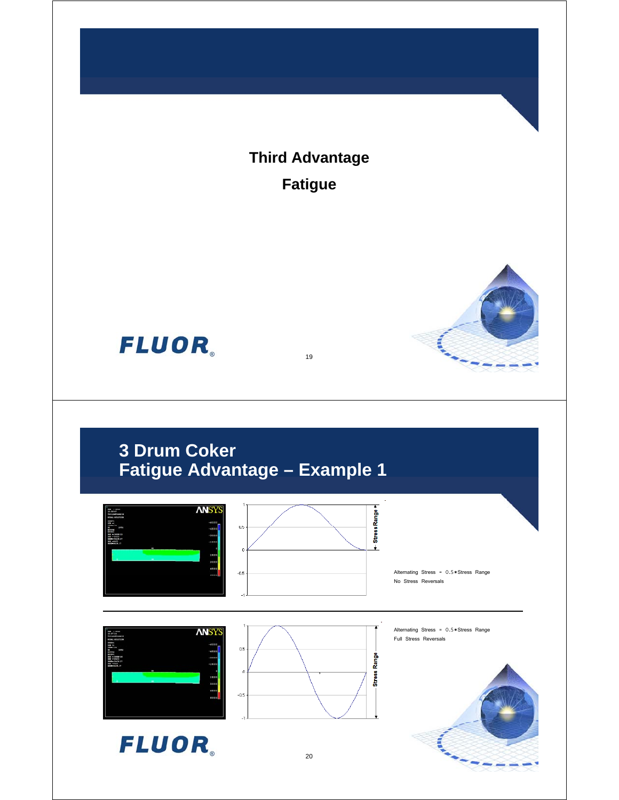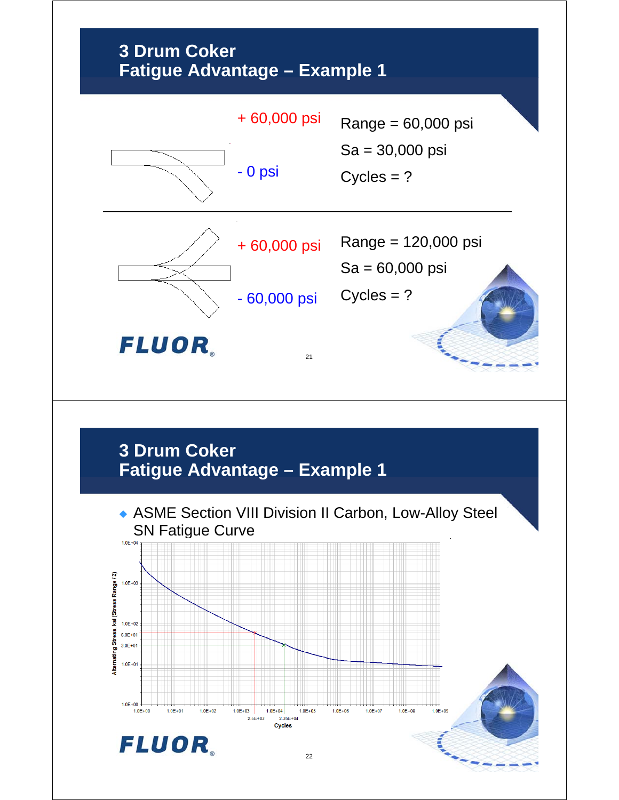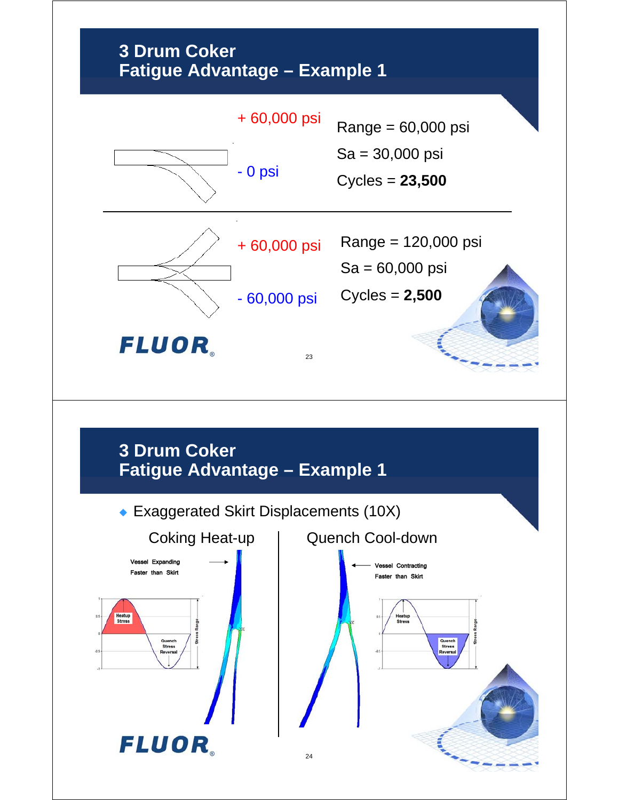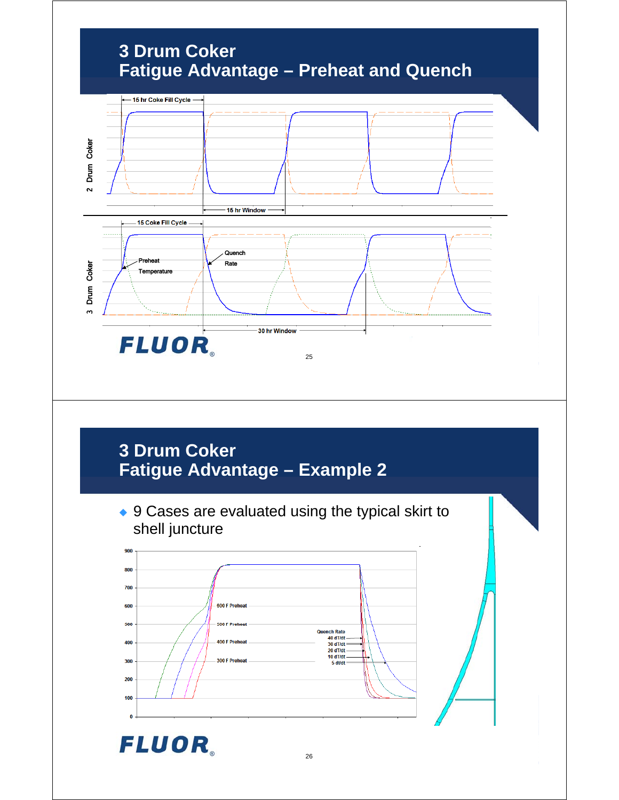

#### **3 Drum Coker Fatigue Advantage – Example 2**

◆ 9 Cases are evaluated using the typical skirt to shell juncture

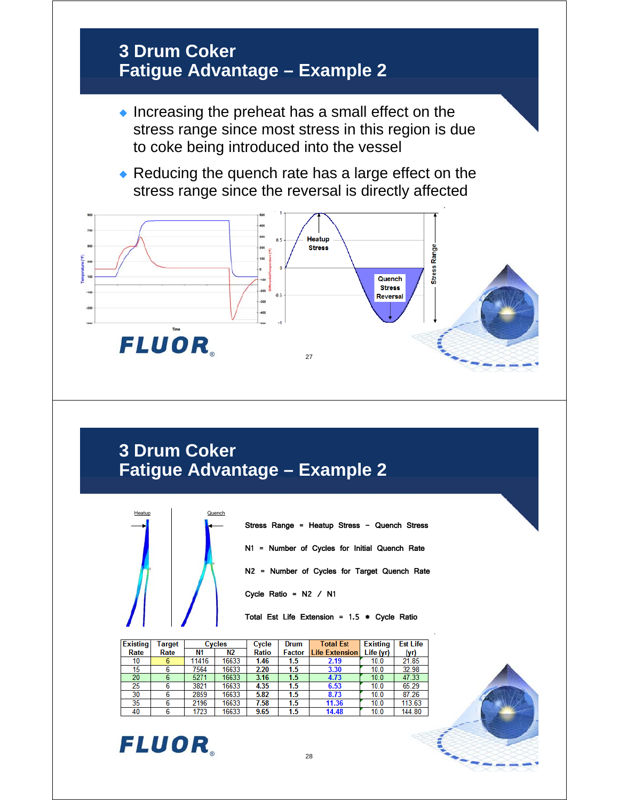#### **3 Drum Coker Fatigue Advantage - Example 2**

- $\bullet$  Increasing the preheat has a small effect on the stress range since most stress in this region is due to coke being introduced into the vessel
- Reducing the quench rate has a large effect on the stress range since the reversal is directly affected



#### **3 Drum Coker Fatigue Advantage – Example 2**



| Stress Range = Heatup Stress - Quench Stress   |
|------------------------------------------------|
| N1 = Number of Cycles for Initial Quench Rate  |
| N2 = Number of Cycles for Target Quench Rate   |
| Cycle Ratio = $N2 / N1$                        |
| Total Est Life Extension = $1.5$ * Cycle Ratio |

| Existing | Target | Cvcles |       | Cycle | Drum   | <b>Total Est</b>      | <b>Existing</b> | <b>Est Life</b> |
|----------|--------|--------|-------|-------|--------|-----------------------|-----------------|-----------------|
| Rate     | Rate   | N1     | N2    | Ratio | Factor | <b>Life Extension</b> | Life (yr)       | (yr)            |
| 10       |        | 11416  | 16633 | 1.46  | 1.5    | 2.19                  | 10.0            | 21.85           |
| 15       |        | 7564   | 16633 | 2.20  | 1.5    | 3.30                  | 10.0            | 32.98           |
| 20       |        | 5271   | 16633 | 3.16  | 1.5    | 4.73                  | 10.0            | 47.33           |
| 25       |        | 3821   | 16633 | 4.35  | 1.5    | 6.53                  | 10.0            | 65.29           |
| 30       |        | 2859   | 16633 | 5.82  | 1.5    | 8.73                  | 10.0            | 87.26           |
| 35       |        | 2196   | 16633 | 7.58  | 1.5    | 11.36                 | 10.0            | 113.63          |
| 40       |        | 1723   | 16633 | 9.65  | 1.5    | 14.48                 | 10.0            | 144.80          |

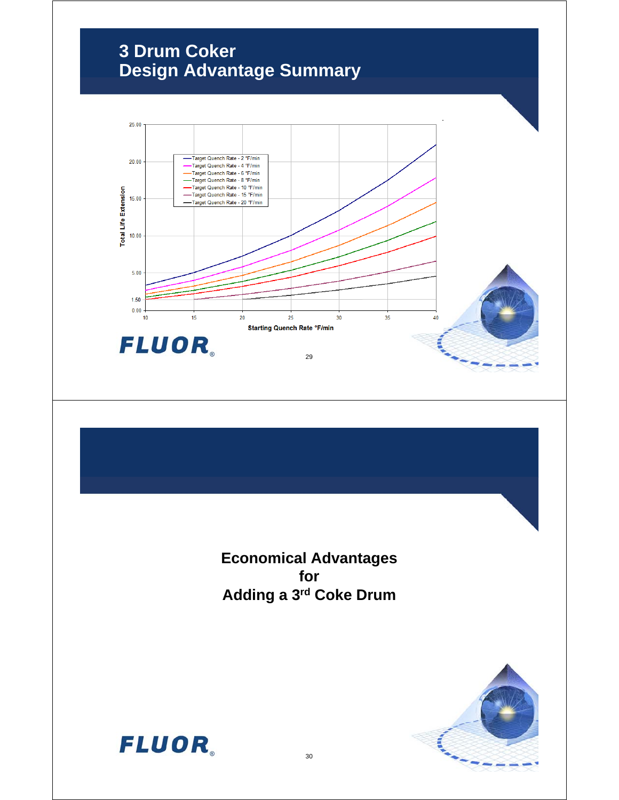#### **3 Drum Coker Design Advantage Summary**



**Economical Advantages for Adding a 3rd Coke Drum**



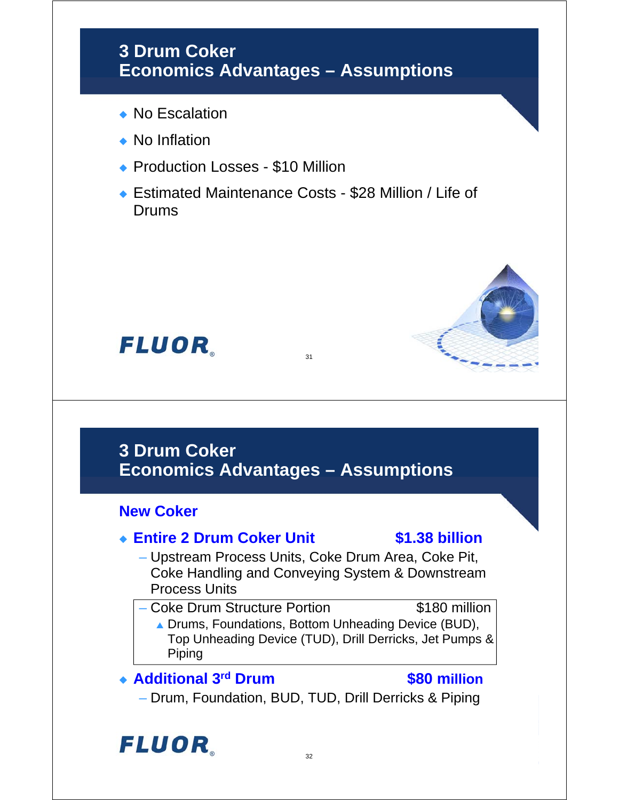# **3 Drum Coker Economics Advantages – Assumptions** • No Escalation • No Inflation ◆ Production Losses - \$10 Million ◆ Estimated Maintenance Costs - \$28 Million / Life of Drums **FLUOR** 31 **3 Drum Coker Economics Advantages – Assumptions New Coker** ◆ Entire 2 Drum Coker Unit **\$1.38 billion** – Upstream Process Units, Coke Drum Area, Coke Pit, Coke Handling and Conveying System & Downstream Process Units – Coke Drum Structure Portion **\$180 million** ▲ Drums, Foundations, Bottom Unheading Device (BUD), Top Unheading Device (TUD), Drill Derricks, Jet Pumps & Piping ◆ Additional 3<sup>rd</sup> Drum **\$80 million** – Drum, Foundation, BUD, TUD, Drill Derricks & Piping **FLUOR**

#### 32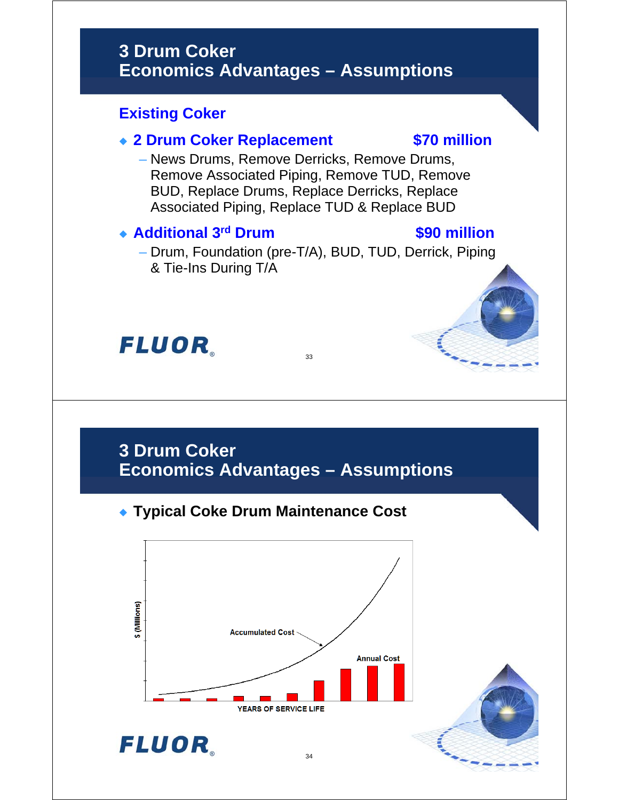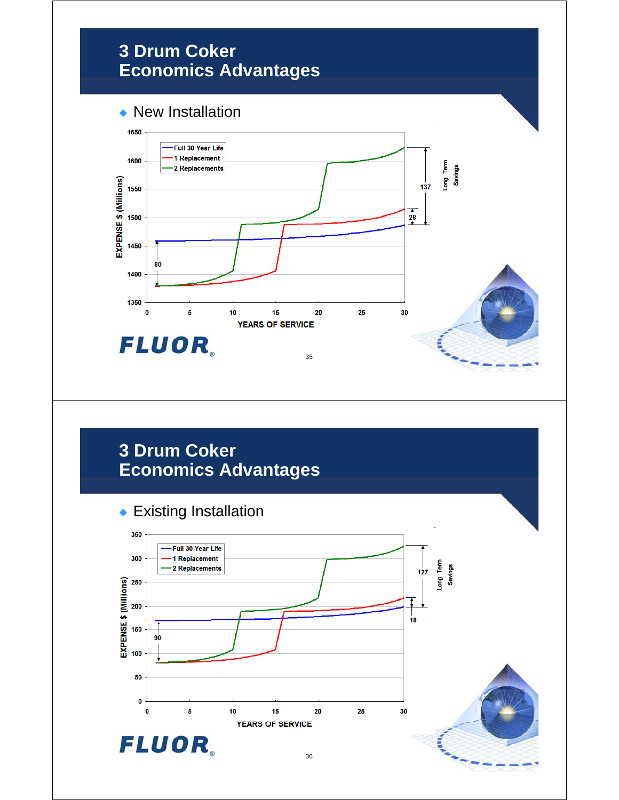### **3 Drum Coker Economics Advantages**

#### • New Installation



### **3 Drum Coker Economics Advantages**

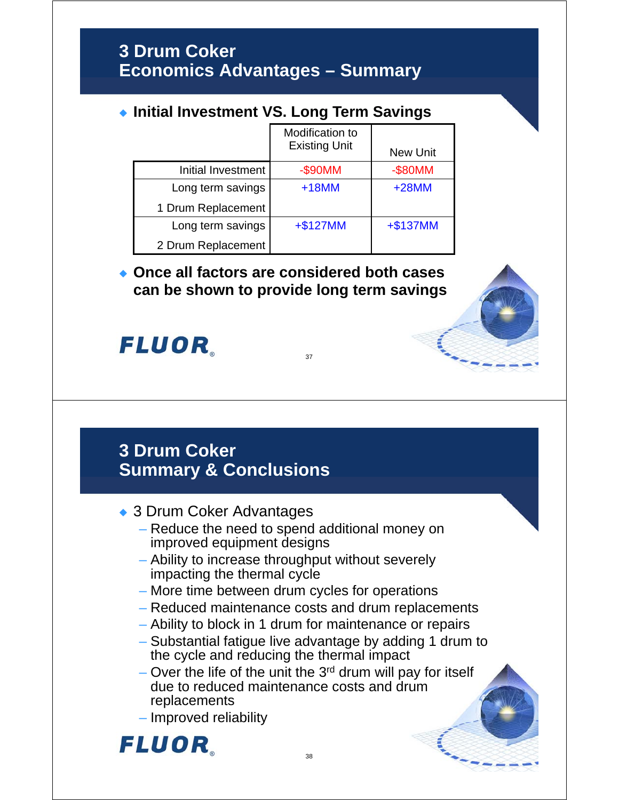#### **3 Drum Coker Economics Advantages – Summary**

#### **Initial Investment VS. Long Term Savings**

|                    | Modification to<br><b>Existing Unit</b> | New Unit |
|--------------------|-----------------------------------------|----------|
| Initial Investment | -\$90MM                                 | -\$80MM  |
| Long term savings  | $+18MM$                                 | $+28$ MM |
| 1 Drum Replacement |                                         |          |
| Long term savings  | $+$127MM$                               | +\$137MM |
| 2 Drum Replacement |                                         |          |

#### **2** Once all factors are considered both cases **can be shown to provide long term savings**

37

**FLUOR** 

#### **3 Drum Coker Summary & Conclusions**

- ◆ 3 Drum Coker Advantages
	- Reduce the need to spend additional money on improved equipment designs
	- Ability to increase throughput without severely impacting the thermal cycle
	- More time between drum cycles for operations
	- Reduced maintenance costs and drum replacements
	- Ability to block in 1 drum for maintenance or repairs
	- Substantial fatigue live advantage by adding 1 drum to the cycle and reducing the thermal impact
	- Over the life of the unit the  $3<sup>rd</sup>$  drum will pay for itself due to reduced maintenance costs and drum replacements
	- Improved reliability Improved

## **FLUOR**